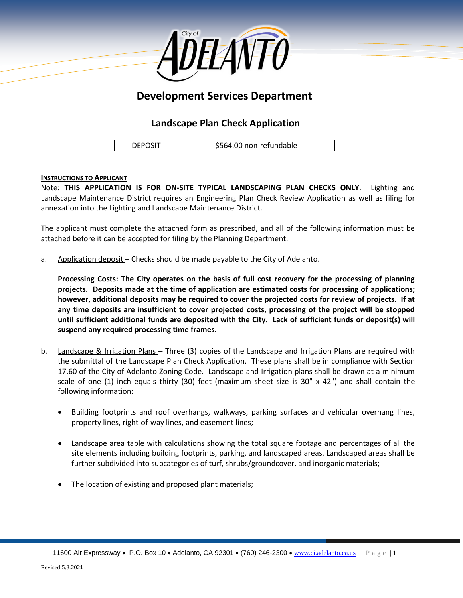

# **Development Services Department**

## **Landscape Plan Check Application**

DEPOSIT | \$564.00 non-refundable

#### **INSTRUCTIONS TO APPLICANT**

Note: **THIS APPLICATION IS FOR ON-SITE TYPICAL LANDSCAPING PLAN CHECKS ONLY**. Lighting and Landscape Maintenance District requires an Engineering Plan Check Review Application as well as filing for annexation into the Lighting and Landscape Maintenance District.

The applicant must complete the attached form as prescribed, and all of the following information must be attached before it can be accepted for filing by the Planning Department.

a. Application deposit – Checks should be made payable to the City of Adelanto.

**Processing Costs: The City operates on the basis of full cost recovery for the processing of planning projects. Deposits made at the time of application are estimated costs for processing of applications; however, additional deposits may be required to cover the projected costs for review of projects. If at any time deposits are insufficient to cover projected costs, processing of the project will be stopped until sufficient additional funds are deposited with the City. Lack of sufficient funds or deposit(s) will suspend any required processing time frames.**

- b. Landscape & Irrigation Plans Three (3) copies of the Landscape and Irrigation Plans are required with the submittal of the Landscape Plan Check Application. These plans shall be in compliance with Section 17.60 of the City of Adelanto Zoning Code. Landscape and Irrigation plans shall be drawn at a minimum scale of one (1) inch equals thirty (30) feet (maximum sheet size is 30"  $\times$  42") and shall contain the following information:
	- Building footprints and roof overhangs, walkways, parking surfaces and vehicular overhang lines, property lines, right-of-way lines, and easement lines;
	- Landscape area table with calculations showing the total square footage and percentages of all the site elements including building footprints, parking, and landscaped areas. Landscaped areas shall be further subdivided into subcategories of turf, shrubs/groundcover, and inorganic materials;
	- The location of existing and proposed plant materials;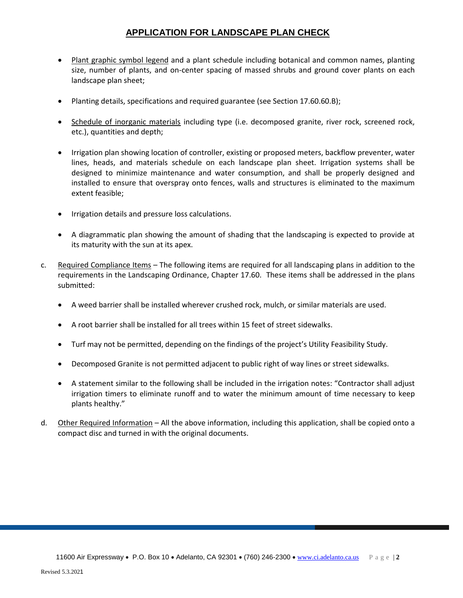### **APPLICATION FOR LANDSCAPE PLAN CHECK**

- Plant graphic symbol legend and a plant schedule including botanical and common names, planting size, number of plants, and on-center spacing of massed shrubs and ground cover plants on each landscape plan sheet;
- Planting details, specifications and required guarantee (see Section 17.60.60.B);
- Schedule of inorganic materials including type (i.e. decomposed granite, river rock, screened rock, etc.), quantities and depth;
- Irrigation plan showing location of controller, existing or proposed meters, backflow preventer, water lines, heads, and materials schedule on each landscape plan sheet. Irrigation systems shall be designed to minimize maintenance and water consumption, and shall be properly designed and installed to ensure that overspray onto fences, walls and structures is eliminated to the maximum extent feasible;
- Irrigation details and pressure loss calculations.
- A diagrammatic plan showing the amount of shading that the landscaping is expected to provide at its maturity with the sun at its apex.
- c. Required Compliance Items The following items are required for all landscaping plans in addition to the requirements in the Landscaping Ordinance, Chapter 17.60. These items shall be addressed in the plans submitted:
	- A weed barrier shall be installed wherever crushed rock, mulch, or similar materials are used.
	- A root barrier shall be installed for all trees within 15 feet of street sidewalks.
	- Turf may not be permitted, depending on the findings of the project's Utility Feasibility Study.
	- Decomposed Granite is not permitted adjacent to public right of way lines or street sidewalks.
	- A statement similar to the following shall be included in the irrigation notes: "Contractor shall adjust irrigation timers to eliminate runoff and to water the minimum amount of time necessary to keep plants healthy."
- d. Other Required Information All the above information, including this application, shall be copied onto a compact disc and turned in with the original documents.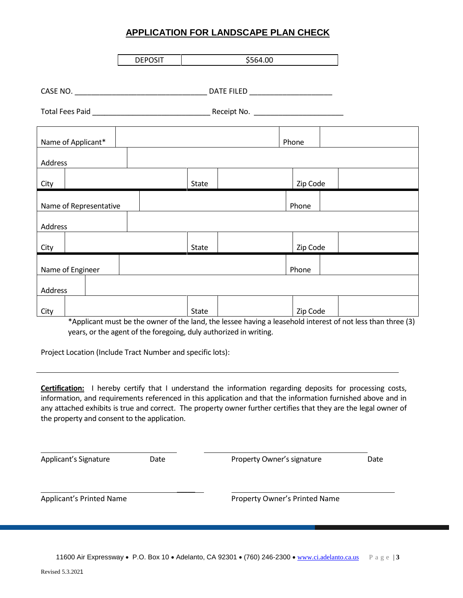#### **APPLICATION FOR LANDSCAPE PLAN CHECK**

|                        |  | <b>DEPOSIT</b> |       | \$564.00 |          |  |
|------------------------|--|----------------|-------|----------|----------|--|
|                        |  |                |       |          |          |  |
|                        |  |                |       |          |          |  |
|                        |  |                |       |          |          |  |
| Name of Applicant*     |  |                |       |          | Phone    |  |
| Address                |  |                |       |          |          |  |
| City                   |  |                | State |          | Zip Code |  |
| Name of Representative |  |                |       |          | Phone    |  |
| Address                |  |                |       |          |          |  |
| City                   |  |                | State |          | Zip Code |  |
| Name of Engineer       |  |                |       |          | Phone    |  |
| Address                |  |                |       |          |          |  |
| City                   |  |                | State |          | Zip Code |  |

\*Applicant must be the owner of the land, the lessee having a leasehold interest of not less than three (3) years, or the agent of the foregoing, duly authorized in writing.

Project Location (Include Tract Number and specific lots):

**Certification:** I hereby certify that I understand the information regarding deposits for processing costs, information, and requirements referenced in this application and that the information furnished above and in any attached exhibits is true and correct. The property owner further certifies that they are the legal owner of the property and consent to the application.

Applicant's Signature **Date** Date **Property Owner's signature** Date  $\mathcal{L}$ Applicant's Printed Name<br>
Property Owner's Printed Name

11600 Air Expressway • P.O. Box 10 • Adelanto, CA 92301 • (760) 246-2300 • [www.ci.adelanto.ca.us](http://www.ci.adelanto.ca.us/) P a g e | **3**